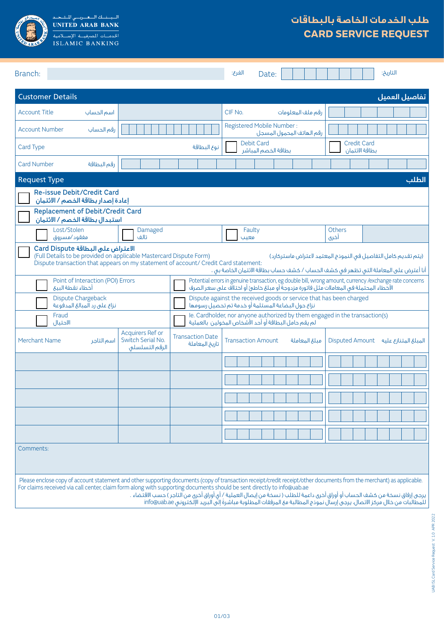

السياسة السعريسي للمتبحيد<br>UNITED ARAB BANK ISLAMIC BANKING

# **طلب الخدمات الخاصة بالبطاقات CARD SERVICE REQUEST**

| Branch:                                                                                                                                                                                                                                                                                                                                                                                                                                                                                                                                                                                                                                                                                                               |                                                                                                                                                                                          |                                           | الفرع:<br>Date:                                                                                                             |                   |                                      | التاريخ:                               |  |  |
|-----------------------------------------------------------------------------------------------------------------------------------------------------------------------------------------------------------------------------------------------------------------------------------------------------------------------------------------------------------------------------------------------------------------------------------------------------------------------------------------------------------------------------------------------------------------------------------------------------------------------------------------------------------------------------------------------------------------------|------------------------------------------------------------------------------------------------------------------------------------------------------------------------------------------|-------------------------------------------|-----------------------------------------------------------------------------------------------------------------------------|-------------------|--------------------------------------|----------------------------------------|--|--|
| <b>Customer Details</b>                                                                                                                                                                                                                                                                                                                                                                                                                                                                                                                                                                                                                                                                                               |                                                                                                                                                                                          |                                           |                                                                                                                             |                   |                                      | تفاصيل العميل                          |  |  |
| <b>Account Title</b><br>اسم الحساب                                                                                                                                                                                                                                                                                                                                                                                                                                                                                                                                                                                                                                                                                    |                                                                                                                                                                                          |                                           | CIF No.                                                                                                                     | رقم ملف المعلومات |                                      |                                        |  |  |
| <b>Account Number</b><br>رقم الحساب                                                                                                                                                                                                                                                                                                                                                                                                                                                                                                                                                                                                                                                                                   |                                                                                                                                                                                          |                                           | Registered Mobile Number:<br>رقم الهاتف المحمول المسجل                                                                      |                   |                                      |                                        |  |  |
| Card Type                                                                                                                                                                                                                                                                                                                                                                                                                                                                                                                                                                                                                                                                                                             |                                                                                                                                                                                          | نوع البطاقة                               | <b>Debit Card</b><br>بطاقة الخصم المباشر                                                                                    |                   | <b>Credit Card</b><br>بطاقة الائتمان |                                        |  |  |
| <b>Card Number</b><br>رقم البطاقة                                                                                                                                                                                                                                                                                                                                                                                                                                                                                                                                                                                                                                                                                     |                                                                                                                                                                                          |                                           |                                                                                                                             |                   |                                      |                                        |  |  |
| <b>Request Type</b>                                                                                                                                                                                                                                                                                                                                                                                                                                                                                                                                                                                                                                                                                                   |                                                                                                                                                                                          |                                           |                                                                                                                             |                   |                                      | الطلب                                  |  |  |
| Re-issue Debit/Credit Card<br>إعادة إصدار بطاقة الخصم / الائتمان                                                                                                                                                                                                                                                                                                                                                                                                                                                                                                                                                                                                                                                      |                                                                                                                                                                                          |                                           |                                                                                                                             |                   |                                      |                                        |  |  |
| <b>Replacement of Debit/Credit Card</b><br>استبدال بطاقة الخصم / الائتمان                                                                                                                                                                                                                                                                                                                                                                                                                                                                                                                                                                                                                                             |                                                                                                                                                                                          |                                           |                                                                                                                             |                   |                                      |                                        |  |  |
| Lost/Stolen<br>مفقود/مسروق                                                                                                                                                                                                                                                                                                                                                                                                                                                                                                                                                                                                                                                                                            | Damaged<br>تالف                                                                                                                                                                          |                                           | Faulty<br>معتب                                                                                                              |                   | <b>Others</b><br>أخرى                |                                        |  |  |
| الاعتراض على البطاقة Card Dispute<br>(Full Details to be provided on applicable Mastercard Dispute Form)<br>(يتم تقديم كامل التفاصيل في النموذج المعتمد لاعتراض ماستركارد)<br>Dispute transaction that appears on my statement of account/ Credit Card statement:<br>أنا أعترض على المعاملة التى تظهر فى كشف الحساب / كشف حساب بطاقة الائتمان الخاصة بى ،<br>Potential errors in genuine transaction, eg double bill, wrong amount, currency /exchange rate concerns<br>Point of Interaction (POI) Errors<br>أخطاء نقطة البيع<br>الأخَطاء المحتملة في المعاملات مثل فاتورة مزدوجةً أو مبلغ خاطئ أو اختلافٌ على سعر الصرف<br>Dispute against the received goods or service that has been charged<br>Dispute Chargeback |                                                                                                                                                                                          |                                           |                                                                                                                             |                   |                                      |                                        |  |  |
| نزاع على رد المبالغ المدفوعة<br>Fraud<br>الاحتيال                                                                                                                                                                                                                                                                                                                                                                                                                                                                                                                                                                                                                                                                     | نزاع حول البضاعة المستلمة أو خدمة تم تحصيل رسومها<br>le. Cardholder, nor anyone authorized by them engaged in the transaction(s)<br>لم يقم حامل البطاقة أو أحد الأشخاص المخولين بالعملية |                                           |                                                                                                                             |                   |                                      |                                        |  |  |
| <b>Merchant Name</b><br>اسم التاجر                                                                                                                                                                                                                                                                                                                                                                                                                                                                                                                                                                                                                                                                                    | Acquirers Ref or<br>Switch Serial No.<br>الرقم التسلسلى                                                                                                                                  | <b>Transaction Date</b><br>تاريخ المعاملة | <b>Transaction Amount</b>                                                                                                   | مبلغ المعاملة     |                                      | المبلغ المتنازع عليه = Disputed Amount |  |  |
|                                                                                                                                                                                                                                                                                                                                                                                                                                                                                                                                                                                                                                                                                                                       |                                                                                                                                                                                          |                                           |                                                                                                                             |                   |                                      |                                        |  |  |
|                                                                                                                                                                                                                                                                                                                                                                                                                                                                                                                                                                                                                                                                                                                       |                                                                                                                                                                                          |                                           |                                                                                                                             |                   |                                      |                                        |  |  |
|                                                                                                                                                                                                                                                                                                                                                                                                                                                                                                                                                                                                                                                                                                                       |                                                                                                                                                                                          |                                           |                                                                                                                             |                   |                                      |                                        |  |  |
|                                                                                                                                                                                                                                                                                                                                                                                                                                                                                                                                                                                                                                                                                                                       |                                                                                                                                                                                          |                                           |                                                                                                                             |                   |                                      |                                        |  |  |
|                                                                                                                                                                                                                                                                                                                                                                                                                                                                                                                                                                                                                                                                                                                       |                                                                                                                                                                                          |                                           |                                                                                                                             |                   |                                      |                                        |  |  |
| Comments:                                                                                                                                                                                                                                                                                                                                                                                                                                                                                                                                                                                                                                                                                                             |                                                                                                                                                                                          |                                           |                                                                                                                             |                   |                                      |                                        |  |  |
| Please enclose copy of account statement and other supporting documents (copy of transaction receipt/credit receipt/other documents from the merchant) as applicable.<br>For claims received via call center, claim form along with supporting documents should be sent directly to info@uab.ae                                                                                                                                                                                                                                                                                                                                                                                                                       |                                                                                                                                                                                          |                                           | يرجى إرفاق نسخة من كشف الحساب أو أوراق أخرى داعمة للطلب ( نسخة من إيصال العملية / أى أوراق أخرى من التاجر ) حسب الاقتّضاء . |                   |                                      |                                        |  |  |

ً للمطالبات من خالل مركز االتصال، يرجى إرسال نموذج المطالبة مع المرفقات المطلوبة مباشرة إلى البريد اإللكتروني ae.uab@info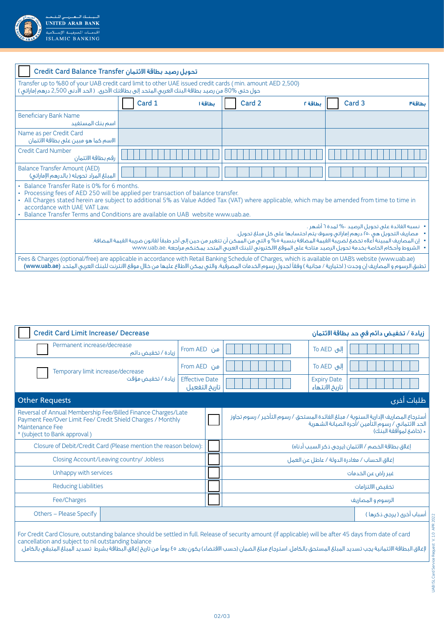

| تحويل رصيد بطاقة الائتمان Credit Card Balance Transfer                                                                                                                                                                                                                            |        |         |        |         |        |        |  |
|-----------------------------------------------------------------------------------------------------------------------------------------------------------------------------------------------------------------------------------------------------------------------------------|--------|---------|--------|---------|--------|--------|--|
| Transfer up to %80 of your UAB credit card limit to other UAE issued credit cards (min. amount AED 2,500)<br>حول حتى %80 من رصيد بطاقة البنك العربى المتحد إلى بطاقتك الأخرى. ( الحد الأدنى 2,500 درهم إماراتى )                                                                  |        |         |        |         |        |        |  |
|                                                                                                                                                                                                                                                                                   | Card 1 | بطاقة ا | Card 2 | بطاقة ٢ | Card 3 | بطاقة٣ |  |
| <b>Beneficiary Bank Name</b><br>اسم ينك المستفيد                                                                                                                                                                                                                                  |        |         |        |         |        |        |  |
| Name as per Credit Card<br>الاسم كما هو مبين على بطاقة الائتمان                                                                                                                                                                                                                   |        |         |        |         |        |        |  |
| <b>Credit Card Number</b><br>رقم بطاقة الائتمان                                                                                                                                                                                                                                   |        |         |        |         |        |        |  |
| <b>Balance Transfer Amount (AED)</b><br>المبلغ المراد تحويله (بالدرهم الإماراتي)                                                                                                                                                                                                  |        |         |        |         |        |        |  |
| • Balance Transfer Rate is 0% for 6 months.<br>• Processing fees of AED 250 will be applied per transaction of balance transfer.<br>· All Charges stated herein are subject to additional 5% as Value Added Tax (VAT) where applicable, which may be amended from time to time in |        |         |        |         |        |        |  |

accordance with UAE VAT Law. • Balance Transfer Terms and Conditions are available on UAB website www.uab.ae.

 نسبه الفائدة على تحويل الرصيد %٠ لمدة ٦ أشهر .

 مصاريف التحويل هي 250 درهم إماراتي وسوف يتم احتسابها على كل مبلغ تحويل.

 إن المصاريف المبينة أعلاه تخضع لضريبة القيمة المضافة بنسبة %٥ و التي من الممكن أن تتغير من حين إلى آخر طبقًا لقانون ضريبة القيمة المضافة.

 الشروط وأحكام الخاصة بخدمة تحويل الرصيد متاحة على الموقع االلكتروني للبنك العربي المتحد يمكنكم مراجعة .ae.uab.www

Fees & Charges (optional/free) are applicable in accordance with Retail Banking Schedule of Charges, which is available on UAB's website (www.uab.ae) تطبق الرسوم و المصاريف إن وجدت ( اختيارية / مجانية ) وفقاً لجدول رسوم الخدمات المصرفية، والتي يمكن الاطلاع عليها من خلال موقع الانترنت للبنك العربي المتحد (www.uab.ae)

| <b>Credit Card Limit Increase/ Decrease</b>                                                                                                                                                                                                                                                                                                                                                     |                                                     |                                        |  |                                                                                                                                                                        | زيادة / تخفيض دائم في حد بطاقة الائتمان      |            |  |
|-------------------------------------------------------------------------------------------------------------------------------------------------------------------------------------------------------------------------------------------------------------------------------------------------------------------------------------------------------------------------------------------------|-----------------------------------------------------|----------------------------------------|--|------------------------------------------------------------------------------------------------------------------------------------------------------------------------|----------------------------------------------|------------|--|
| Permanent increase/decrease                                                                                                                                                                                                                                                                                                                                                                     | زيادة / تخفيض دائم                                  | من From AED                            |  |                                                                                                                                                                        | To AED إلى                                   |            |  |
| Temporary limit increase/decrease                                                                                                                                                                                                                                                                                                                                                               | زيادة / تخفيض مؤقت                                  | من From AED                            |  |                                                                                                                                                                        | To AED الی                                   |            |  |
|                                                                                                                                                                                                                                                                                                                                                                                                 |                                                     | <b>Effective Date</b><br>تاريخ التفعيل |  |                                                                                                                                                                        | <b>Expiry Date</b><br>تاريخ الانتهاء         |            |  |
| <b>Other Requests</b>                                                                                                                                                                                                                                                                                                                                                                           |                                                     |                                        |  |                                                                                                                                                                        |                                              | طلبات أخرى |  |
| Reversal of Annual Membership Fee/Billed Finance Charges/Late<br>Payment Fee/Over Limit Fee/ Credit Shield Charges / Monthly<br>Maintenance Fee<br>* (subject to Bank approval)                                                                                                                                                                                                                 |                                                     |                                        |  | أسترجاع المصاريف الإدارية السنوية / مبلغ الفائدة المستحق / رسوم التأخير / رسوم تجاوز<br>الحد الائتمانى / رسوم التأمين /أجرة الصيانة الشهرية<br>« (خاضع لمواّفقة البنك) |                                              |            |  |
| Closure of Debit/Credit Card (Please mention the reason below):                                                                                                                                                                                                                                                                                                                                 | إغلاق بطاقة الخصم / الائتمان (يرجى ذكر السبب أدناه) |                                        |  |                                                                                                                                                                        |                                              |            |  |
| Closing Account/Leaving country/ Jobless                                                                                                                                                                                                                                                                                                                                                        |                                                     |                                        |  |                                                                                                                                                                        | إغلاق الحساب / مغادرة الدولة / عاطل عن العمل |            |  |
| Unhappy with services                                                                                                                                                                                                                                                                                                                                                                           |                                                     |                                        |  | غير راض عن الخدمات                                                                                                                                                     |                                              |            |  |
| <b>Reducing Liabilities</b>                                                                                                                                                                                                                                                                                                                                                                     |                                                     |                                        |  | تخفيض الالتزامات                                                                                                                                                       |                                              |            |  |
| Fee/Charges                                                                                                                                                                                                                                                                                                                                                                                     |                                                     |                                        |  | الرسوم والمصاريف                                                                                                                                                       |                                              |            |  |
| Others - Please Specify                                                                                                                                                                                                                                                                                                                                                                         |                                                     |                                        |  | أسباب أخرى ( يرجى ذكرها )                                                                                                                                              |                                              |            |  |
| For Credit Card Closure, outstanding balance should be settled in full. Release of security amount (if applicable) will be after 45 days from date of card<br>cancellation and subject to nil outstanding balance<br>لإغلاق البطاقة الائتمانية يجب تسديد المبلغ المستحق بالكامل. استرجاع مبلغ الضمان (حسب الاقتضاء) يكون بعد ٤٥ يوماً من تاريخ إغلاق البطاقة بشرط تسديد المبلغ المتبقى بالكامل. |                                                     |                                        |  |                                                                                                                                                                        |                                              |            |  |

02/03